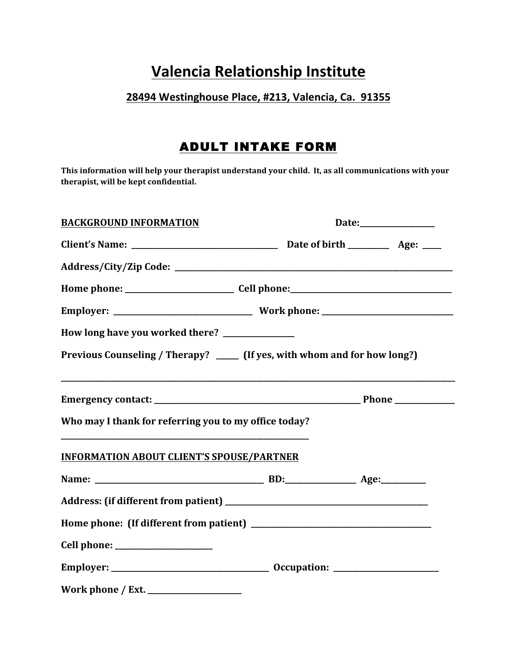## **Valencia Relationship Institute**

## 28494 Westinghouse Place, #213, Valencia, Ca. 91355

## ADULT INTAKE FORM

This information will help your therapist understand your child. It, as all communications with your **therapist, will be kept confidential.**

| <b>BACKGROUND INFORMATION</b>                                              | Date:_________________ |  |
|----------------------------------------------------------------------------|------------------------|--|
|                                                                            |                        |  |
|                                                                            |                        |  |
|                                                                            |                        |  |
|                                                                            |                        |  |
| How long have you worked there? _______________                            |                        |  |
| Previous Counseling / Therapy? _____ (If yes, with whom and for how long?) |                        |  |
|                                                                            |                        |  |
| Who may I thank for referring you to my office today?                      |                        |  |
| <b>INFORMATION ABOUT CLIENT'S SPOUSE/PARTNER</b>                           |                        |  |
|                                                                            |                        |  |
|                                                                            |                        |  |
|                                                                            |                        |  |
|                                                                            |                        |  |
|                                                                            |                        |  |
|                                                                            |                        |  |